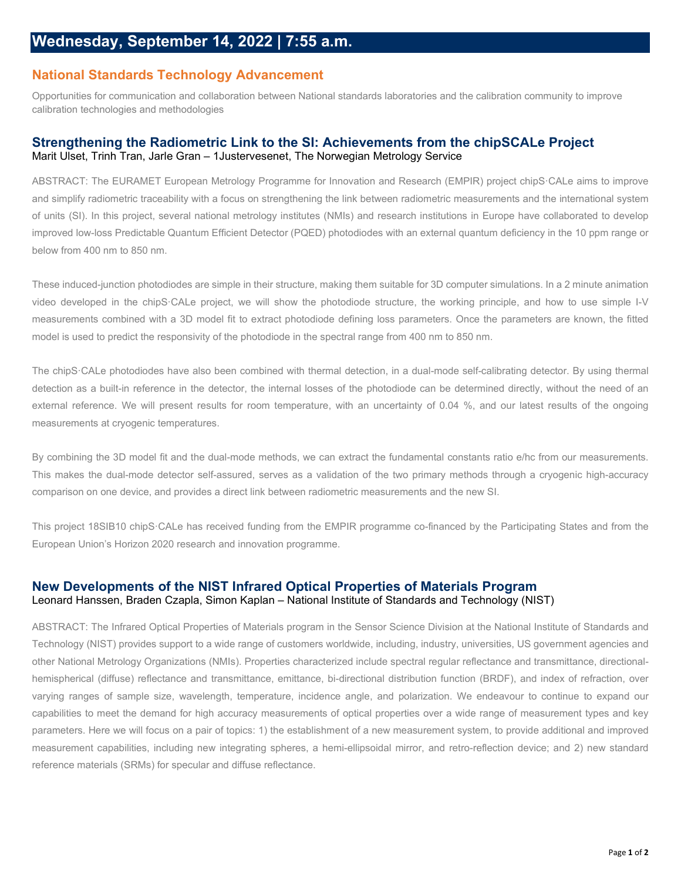## **National Standards Technology Advancement**

Opportunities for communication and collaboration between National standards laboratories and the calibration community to improve calibration technologies and methodologies

## **Strengthening the Radiometric Link to the SI: Achievements from the chipSCALe Project** Marit Ulset, Trinh Tran, Jarle Gran – 1Justervesenet, The Norwegian Metrology Service

ABSTRACT: The EURAMET European Metrology Programme for Innovation and Research (EMPIR) project chipS·CALe aims to improve and simplify radiometric traceability with a focus on strengthening the link between radiometric measurements and the international system of units (SI). In this project, several national metrology institutes (NMIs) and research institutions in Europe have collaborated to develop improved low-loss Predictable Quantum Efficient Detector (PQED) photodiodes with an external quantum deficiency in the 10 ppm range or below from 400 nm to 850 nm.

These induced-junction photodiodes are simple in their structure, making them suitable for 3D computer simulations. In a 2 minute animation video developed in the chipS·CALe project, we will show the photodiode structure, the working principle, and how to use simple I-V measurements combined with a 3D model fit to extract photodiode defining loss parameters. Once the parameters are known, the fitted model is used to predict the responsivity of the photodiode in the spectral range from 400 nm to 850 nm.

The chipS·CALe photodiodes have also been combined with thermal detection, in a dual-mode self-calibrating detector. By using thermal detection as a built-in reference in the detector, the internal losses of the photodiode can be determined directly, without the need of an external reference. We will present results for room temperature, with an uncertainty of 0.04 %, and our latest results of the ongoing measurements at cryogenic temperatures.

By combining the 3D model fit and the dual-mode methods, we can extract the fundamental constants ratio e/hc from our measurements. This makes the dual-mode detector self-assured, serves as a validation of the two primary methods through a cryogenic high-accuracy comparison on one device, and provides a direct link between radiometric measurements and the new SI.

This project 18SIB10 chipS·CALe has received funding from the EMPIR programme co-financed by the Participating States and from the European Union's Horizon 2020 research and innovation programme.

## **New Developments of the NIST Infrared Optical Properties of Materials Program** Leonard Hanssen, Braden Czapla, Simon Kaplan – National Institute of Standards and Technology (NIST)

ABSTRACT: The Infrared Optical Properties of Materials program in the Sensor Science Division at the National Institute of Standards and Technology (NIST) provides support to a wide range of customers worldwide, including, industry, universities, US government agencies and other National Metrology Organizations (NMIs). Properties characterized include spectral regular reflectance and transmittance, directionalhemispherical (diffuse) reflectance and transmittance, emittance, bi-directional distribution function (BRDF), and index of refraction, over varying ranges of sample size, wavelength, temperature, incidence angle, and polarization. We endeavour to continue to expand our capabilities to meet the demand for high accuracy measurements of optical properties over a wide range of measurement types and key parameters. Here we will focus on a pair of topics: 1) the establishment of a new measurement system, to provide additional and improved measurement capabilities, including new integrating spheres, a hemi-ellipsoidal mirror, and retro-reflection device; and 2) new standard reference materials (SRMs) for specular and diffuse reflectance.